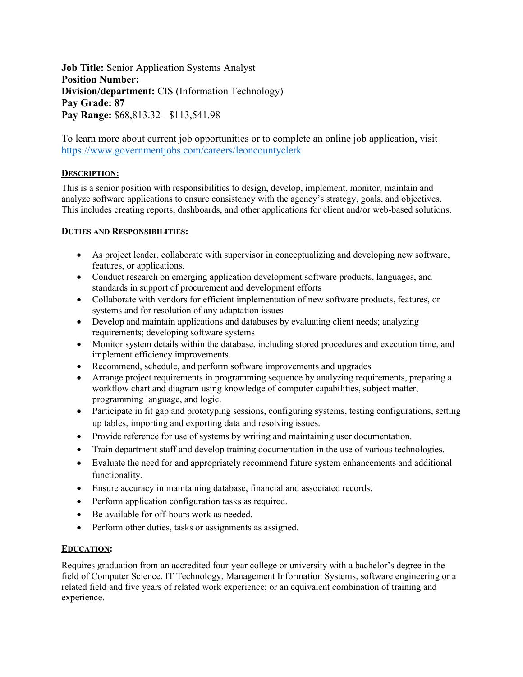**Job Title:** Senior Application Systems Analyst **Position Number: Division/department:** CIS (Information Technology) **Pay Grade: 87 Pay Range:** \$68,813.32 - \$113,541.98

To learn more about current job opportunities or to complete an online job application, visit <https://www.governmentjobs.com/careers/leoncountyclerk>

# **DESCRIPTION:**

This is a senior position with responsibilities to design, develop, implement, monitor, maintain and analyze software applications to ensure consistency with the agency's strategy, goals, and objectives. This includes creating reports, dashboards, and other applications for client and/or web-based solutions.

#### **DUTIES AND RESPONSIBILITIES:**

- As project leader, collaborate with supervisor in conceptualizing and developing new software, features, or applications.
- Conduct research on emerging application development software products, languages, and standards in support of procurement and development efforts
- Collaborate with vendors for efficient implementation of new software products, features, or systems and for resolution of any adaptation issues
- Develop and maintain applications and databases by evaluating client needs; analyzing requirements; developing software systems
- Monitor system details within the database, including stored procedures and execution time, and implement efficiency improvements.
- Recommend, schedule, and perform software improvements and upgrades
- Arrange project requirements in programming sequence by analyzing requirements, preparing a workflow chart and diagram using knowledge of computer capabilities, subject matter, programming language, and logic.
- Participate in fit gap and prototyping sessions, configuring systems, testing configurations, setting up tables, importing and exporting data and resolving issues.
- Provide reference for use of systems by writing and maintaining user documentation.
- Train department staff and develop training documentation in the use of various technologies.
- Evaluate the need for and appropriately recommend future system enhancements and additional functionality.
- Ensure accuracy in maintaining database, financial and associated records.
- Perform application configuration tasks as required.
- Be available for off-hours work as needed.
- Perform other duties, tasks or assignments as assigned.

## **EDUCATION:**

Requires graduation from an accredited four-year college or university with a bachelor's degree in the field of Computer Science, IT Technology, Management Information Systems, software engineering or a related field and five years of related work experience; or an equivalent combination of training and experience.